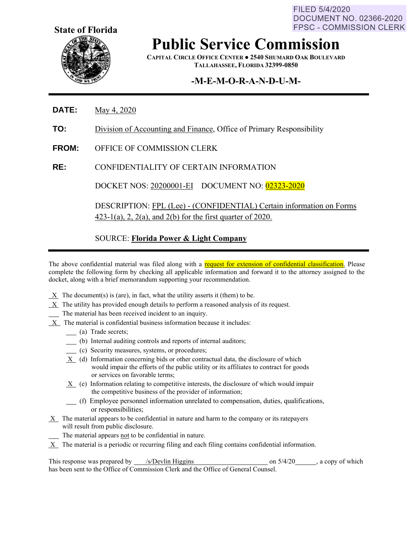FILED 5/4/2020 DOCUMENT NO. 02366-2020 **FPSC - COMMISSION CLERK** 



# **Public Service Commission**

**CAPITAL CIRCLE OFFICE CENTER ● 2540 SHUMARD OAK BOULEVARD TALLAHASSEE, FLORIDA 32399-0850**

### **-M-E-M-O-R-A-N-D-U-M-**

- **DATE:** May 4, 2020
- **TO:** Division of Accounting and Finance, Office of Primary Responsibility
- **FROM:** OFFICE OF COMMISSION CLERK
- **RE:** CONFIDENTIALITY OF CERTAIN INFORMATION

DOCKET NOS: 20200001-EI DOCUMENT NO: 02323-2020

DESCRIPTION: FPL (Lee) - (CONFIDENTIAL) Certain information on Forms  $423-1(a)$ , 2,  $2(a)$ , and  $2(b)$  for the first quarter of 2020.

### SOURCE: **Florida Power & Light Company**

The above confidential material was filed along with a request for extension of confidential classification. Please complete the following form by checking all applicable information and forward it to the attorney assigned to the docket, along with a brief memorandum supporting your recommendation.

- $X$  The document(s) is (are), in fact, what the utility asserts it (them) to be.
- $X$  The utility has provided enough details to perform a reasoned analysis of its request.
- The material has been received incident to an inquiry.
- X The material is confidential business information because it includes:
	- (a) Trade secrets;
	- (b) Internal auditing controls and reports of internal auditors;
	- (c) Security measures, systems, or procedures;
	- X (d) Information concerning bids or other contractual data, the disclosure of which would impair the efforts of the public utility or its affiliates to contract for goods or services on favorable terms;
	- X (e) Information relating to competitive interests, the disclosure of which would impair the competitive business of the provider of information;
	- (f) Employee personnel information unrelated to compensation, duties, qualifications, or responsibilities;
- $X$  The material appears to be confidential in nature and harm to the company or its ratepayers will result from public disclosure.
	- The material appears not to be confidential in nature.
- $X$  The material is a periodic or recurring filing and each filing contains confidential information.

This response was prepared by /s/Devlin Higgins on 5/4/20 , a copy of which has been sent to the Office of Commission Clerk and the Office of General Counsel.